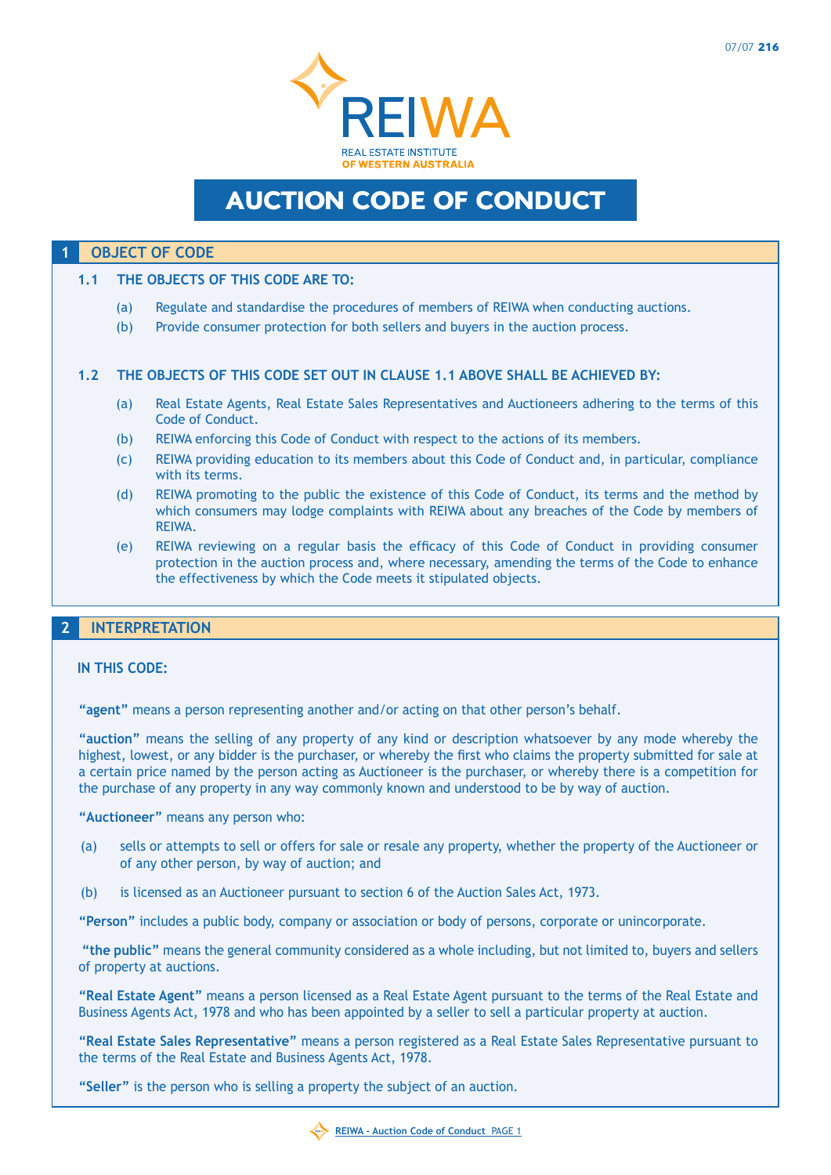

# Auction Code of Conduct

## **1 OBJECT OF CODE**

#### **1.1 The objects of this Code are to:**

- (a) Regulate and standardise the procedures of members of REIWA when conducting auctions.
- (b) Provide consumer protection for both sellers and buyers in the auction process.

#### **1.2 The objects of this Code set out in clause 1.1 above shall be achieved by:**

- (a) Real Estate Agents, Real Estate Sales Representatives and Auctioneers adhering to the terms of this Code of Conduct.
- (b) REIWA enforcing this Code of Conduct with respect to the actions of its members.
- (c) REIWA providing education to its members about this Code of Conduct and, in particular, compliance with its terms.
- (d) REIWA promoting to the public the existence of this Code of Conduct, its terms and the method by which consumers may lodge complaints with REIWA about any breaches of the Code by members of REIWA.
- (e) REIWA reviewing on a regular basis the efficacy of this Code of Conduct in providing consumer protection in the auction process and, where necessary, amending the terms of the Code to enhance the effectiveness by which the Code meets it stipulated objects.

# **2 INTERPRETATION**

#### **In this Code:**

**"agent"** means a person representing another and/or acting on that other person's behalf.

**"auction"** means the selling of any property of any kind or description whatsoever by any mode whereby the highest, lowest, or any bidder is the purchaser, or whereby the first who claims the property submitted for sale at a certain price named by the person acting as Auctioneer is the purchaser, or whereby there is a competition for the purchase of any property in any way commonly known and understood to be by way of auction.

**"Auctioneer"** means any person who:

- (a) sells or attempts to sell or offers for sale or resale any property, whether the property of the Auctioneer or of any other person, by way of auction; and
- (b) is licensed as an Auctioneer pursuant to section 6 of the Auction Sales Act, 1973.

**"Person"** includes a public body, company or association or body of persons, corporate or unincorporate.

 **"the public"** means the general community considered as a whole including, but not limited to, buyers and sellers of property at auctions.

**"Real Estate Agent"** means a person licensed as a Real Estate Agent pursuant to the terms of the Real Estate and Business Agents Act, 1978 and who has been appointed by a seller to sell a particular property at auction.

**"Real Estate Sales Representative"** means a person registered as a Real Estate Sales Representative pursuant to the terms of the Real Estate and Business Agents Act, 1978.

**"Seller"** is the person who is selling a property the subject of an auction.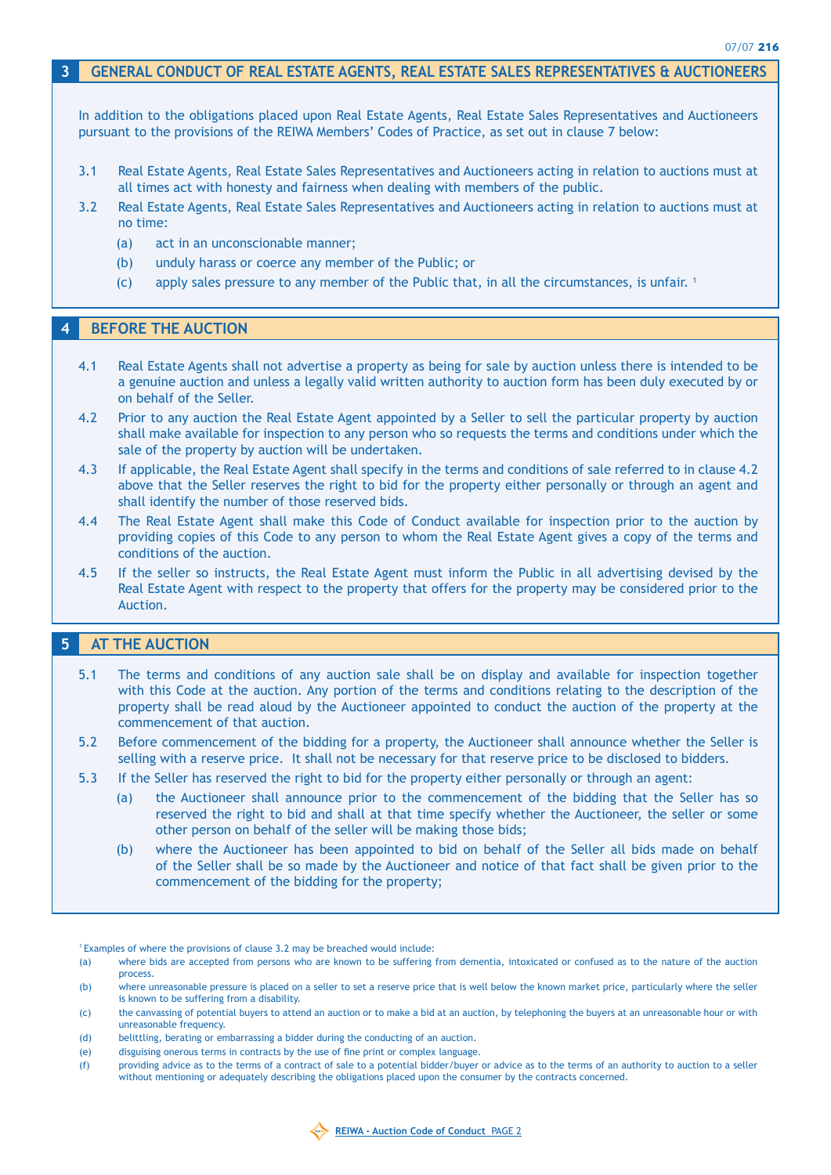## **3 GENERAL CONDUCT OF REAL ESTATE AGENTS, REAL ESTATE SALES REPRESENTATIVES & AUCTIONEERS**

In addition to the obligations placed upon Real Estate Agents, Real Estate Sales Representatives and Auctioneers pursuant to the provisions of the REIWA Members' Codes of Practice, as set out in clause 7 below:

- 3.1 Real Estate Agents, Real Estate Sales Representatives and Auctioneers acting in relation to auctions must at all times act with honesty and fairness when dealing with members of the public.
- 3.2 Real Estate Agents, Real Estate Sales Representatives and Auctioneers acting in relation to auctions must at no time:
	- (a) act in an unconscionable manner;
	- (b) unduly harass or coerce any member of the Public; or
	- (c) apply sales pressure to any member of the Public that, in all the circumstances, is unfair. 1

#### **4 BEFORE THE AUCTION**

- 4.1 Real Estate Agents shall not advertise a property as being for sale by auction unless there is intended to be a genuine auction and unless a legally valid written authority to auction form has been duly executed by or on behalf of the Seller.
- 4.2 Prior to any auction the Real Estate Agent appointed by a Seller to sell the particular property by auction shall make available for inspection to any person who so requests the terms and conditions under which the sale of the property by auction will be undertaken.
- 4.3 If applicable, the Real Estate Agent shall specify in the terms and conditions of sale referred to in clause 4.2 above that the Seller reserves the right to bid for the property either personally or through an agent and shall identify the number of those reserved bids.
- 4.4 The Real Estate Agent shall make this Code of Conduct available for inspection prior to the auction by providing copies of this Code to any person to whom the Real Estate Agent gives a copy of the terms and conditions of the auction.
- 4.5 If the seller so instructs, the Real Estate Agent must inform the Public in all advertising devised by the Real Estate Agent with respect to the property that offers for the property may be considered prior to the Auction.

## **5 AT THE AUCTION**

- 5.1 The terms and conditions of any auction sale shall be on display and available for inspection together with this Code at the auction. Any portion of the terms and conditions relating to the description of the property shall be read aloud by the Auctioneer appointed to conduct the auction of the property at the commencement of that auction.
- 5.2 Before commencement of the bidding for a property, the Auctioneer shall announce whether the Seller is selling with a reserve price. It shall not be necessary for that reserve price to be disclosed to bidders.
- 5.3 If the Seller has reserved the right to bid for the property either personally or through an agent:
	- (a) the Auctioneer shall announce prior to the commencement of the bidding that the Seller has so reserved the right to bid and shall at that time specify whether the Auctioneer, the seller or some other person on behalf of the seller will be making those bids;
	- (b) where the Auctioneer has been appointed to bid on behalf of the Seller all bids made on behalf of the Seller shall be so made by the Auctioneer and notice of that fact shall be given prior to the commencement of the bidding for the property;

1 Examples of where the provisions of clause 3.2 may be breached would include:

(e) disguising onerous terms in contracts by the use of fine print or complex language.

<sup>(</sup>f) providing advice as to the terms of a contract of sale to a potential bidder/buyer or advice as to the terms of an authority to auction to a seller without mentioning or adequately describing the obligations placed upon the consumer by the contracts concerned.



<sup>(</sup>a) where bids are accepted from persons who are known to be suffering from dementia, intoxicated or confused as to the nature of the auction process.

<sup>(</sup>b) where unreasonable pressure is placed on a seller to set a reserve price that is well below the known market price, particularly where the seller is known to be suffering from a disability.

<sup>(</sup>c) the canvassing of potential buyers to attend an auction or to make a bid at an auction, by telephoning the buyers at an unreasonable hour or with unreasonable frequency.

<sup>(</sup>d) belittling, berating or embarrassing a bidder during the conducting of an auction.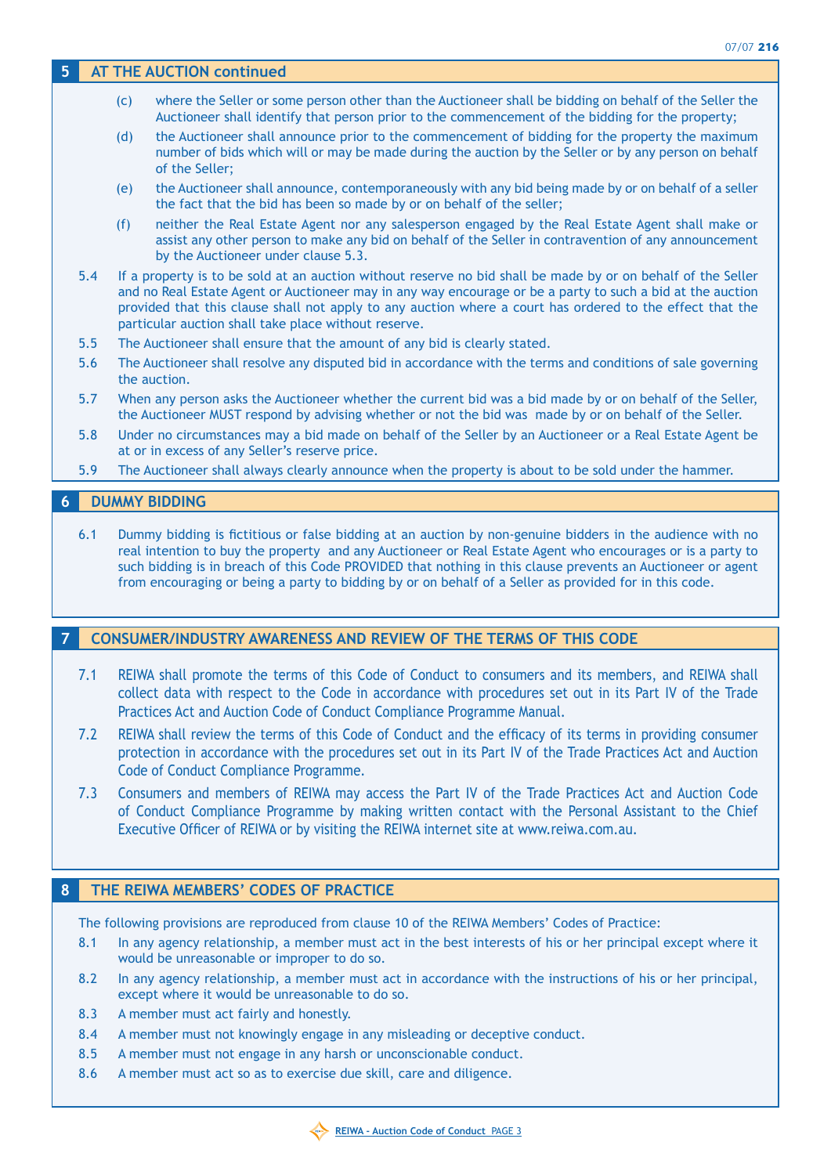## **5 AT THE AUCTION continued**

- (c) where the Seller or some person other than the Auctioneer shall be bidding on behalf of the Seller the Auctioneer shall identify that person prior to the commencement of the bidding for the property;
- (d) the Auctioneer shall announce prior to the commencement of bidding for the property the maximum number of bids which will or may be made during the auction by the Seller or by any person on behalf of the Seller;
- (e) the Auctioneer shall announce, contemporaneously with any bid being made by or on behalf of a seller the fact that the bid has been so made by or on behalf of the seller;
- (f) neither the Real Estate Agent nor any salesperson engaged by the Real Estate Agent shall make or assist any other person to make any bid on behalf of the Seller in contravention of any announcement by the Auctioneer under clause 5.3.
- 5.4 If a property is to be sold at an auction without reserve no bid shall be made by or on behalf of the Seller and no Real Estate Agent or Auctioneer may in any way encourage or be a party to such a bid at the auction provided that this clause shall not apply to any auction where a court has ordered to the effect that the particular auction shall take place without reserve.
- 5.5 The Auctioneer shall ensure that the amount of any bid is clearly stated.
- 5.6 The Auctioneer shall resolve any disputed bid in accordance with the terms and conditions of sale governing the auction.
- 5.7 When any person asks the Auctioneer whether the current bid was a bid made by or on behalf of the Seller, the Auctioneer MUST respond by advising whether or not the bid was made by or on behalf of the Seller.
- 5.8 Under no circumstances may a bid made on behalf of the Seller by an Auctioneer or a Real Estate Agent be at or in excess of any Seller's reserve price.
- 5.9 The Auctioneer shall always clearly announce when the property is about to be sold under the hammer.

## **6 DUMMY BIDDING**

6.1 Dummy bidding is fictitious or false bidding at an auction by non-genuine bidders in the audience with no real intention to buy the property and any Auctioneer or Real Estate Agent who encourages or is a party to such bidding is in breach of this Code PROVIDED that nothing in this clause prevents an Auctioneer or agent from encouraging or being a party to bidding by or on behalf of a Seller as provided for in this code.

## **7 CONSUMER/INDUSTRY AWARENESS AND REVIEW OF THE TERMS OF THIS CODE**

- 7.1 REIWA shall promote the terms of this Code of Conduct to consumers and its members, and REIWA shall collect data with respect to the Code in accordance with procedures set out in its Part IV of the Trade Practices Act and Auction Code of Conduct Compliance Programme Manual.
- 7.2 REIWA shall review the terms of this Code of Conduct and the efficacy of its terms in providing consumer protection in accordance with the procedures set out in its Part IV of the Trade Practices Act and Auction Code of Conduct Compliance Programme.
- 7.3 Consumers and members of REIWA may access the Part IV of the Trade Practices Act and Auction Code of Conduct Compliance Programme by making written contact with the Personal Assistant to the Chief Executive Officer of REIWA or by visiting the REIWA internet site at www.reiwa.com.au.

## **8 THE REIWA MEMBERS' CODES OF PRACTICE**

The following provisions are reproduced from clause 10 of the REIWA Members' Codes of Practice:

- 8.1 In any agency relationship, a member must act in the best interests of his or her principal except where it would be unreasonable or improper to do so.
- 8.2 In any agency relationship, a member must act in accordance with the instructions of his or her principal, except where it would be unreasonable to do so.
- 8.3 A member must act fairly and honestly.
- 8.4 A member must not knowingly engage in any misleading or deceptive conduct.
- 8.5 A member must not engage in any harsh or unconscionable conduct.
- 8.6 A member must act so as to exercise due skill, care and diligence.